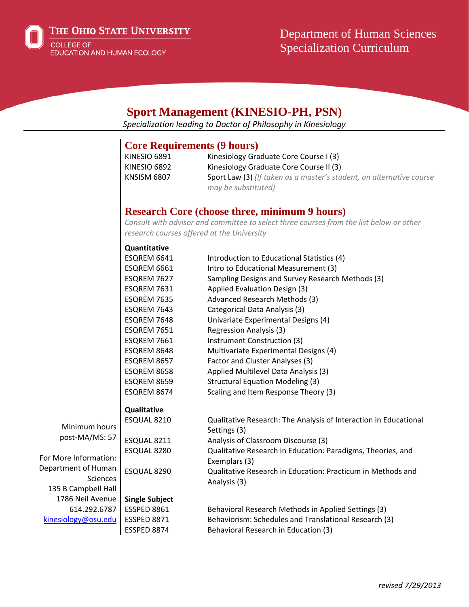

THE OHIO STATE UNIVERSITY

COLLEGE OF<br>EDUCATION AND HUMAN ECOLOGY

# Department of Human Sciences Specialization Curriculum

|                       |                                    | <b>Sport Management (KINESIO-PH, PSN)</b>                                                                                             |  |
|-----------------------|------------------------------------|---------------------------------------------------------------------------------------------------------------------------------------|--|
|                       |                                    | Specialization leading to Doctor of Philosophy in Kinesiology                                                                         |  |
|                       | <b>Core Requirements (9 hours)</b> |                                                                                                                                       |  |
|                       | <b>KINESIO 6891</b>                | Kinesiology Graduate Core Course I (3)                                                                                                |  |
|                       | KINESIO 6892                       | Kinesiology Graduate Core Course II (3)                                                                                               |  |
|                       | <b>KNSISM 6807</b>                 | Sport Law (3) (If taken as a master's student, an alternative course<br>may be substituted)                                           |  |
|                       |                                    | <b>Research Core (choose three, minimum 9 hours)</b>                                                                                  |  |
|                       |                                    | Consult with advisor and committee to select three courses from the list below or other<br>research courses offered at the University |  |
|                       | Quantitative                       |                                                                                                                                       |  |
|                       | ESQREM 6641                        | Introduction to Educational Statistics (4)                                                                                            |  |
|                       | ESQREM 6661                        | Intro to Educational Measurement (3)                                                                                                  |  |
|                       | ESQREM 7627                        | Sampling Designs and Survey Research Methods (3)                                                                                      |  |
|                       | ESQREM 7631                        | Applied Evaluation Design (3)                                                                                                         |  |
|                       | ESQREM 7635                        | Advanced Research Methods (3)                                                                                                         |  |
|                       | ESQREM 7643                        | Categorical Data Analysis (3)                                                                                                         |  |
|                       | ESQREM 7648                        | Univariate Experimental Designs (4)                                                                                                   |  |
|                       | ESQREM 7651                        | <b>Regression Analysis (3)</b>                                                                                                        |  |
|                       | ESQREM 7661                        | Instrument Construction (3)                                                                                                           |  |
|                       | ESQREM 8648                        | Multivariate Experimental Designs (4)                                                                                                 |  |
|                       | ESQREM 8657                        | Factor and Cluster Analyses (3)                                                                                                       |  |
|                       | ESQREM 8658                        | Applied Multilevel Data Analysis (3)                                                                                                  |  |
|                       | ESQREM 8659                        | <b>Structural Equation Modeling (3)</b>                                                                                               |  |
|                       | ESQREM 8674                        | Scaling and Item Response Theory (3)                                                                                                  |  |
|                       | Qualitative                        |                                                                                                                                       |  |
| Minimum hours         | ESQUAL 8210                        | Qualitative Research: The Analysis of Interaction in Educational                                                                      |  |
| post-MA/MS: 57        | ESQUAL 8211                        | Settings (3)<br>Analysis of Classroom Discourse (3)                                                                                   |  |
|                       | ESQUAL 8280                        | Qualitative Research in Education: Paradigms, Theories, and                                                                           |  |
| For More Information: |                                    | Exemplars (3)                                                                                                                         |  |
| Department of Human   | ESQUAL 8290                        | Qualitative Research in Education: Practicum in Methods and                                                                           |  |
| Sciences              |                                    | Analysis (3)                                                                                                                          |  |
| 135 B Campbell Hall   |                                    |                                                                                                                                       |  |
| 1786 Neil Avenue      | <b>Single Subject</b>              |                                                                                                                                       |  |
| 614.292.6787          | <b>ESSPED 8861</b>                 | Behavioral Research Methods in Applied Settings (3)                                                                                   |  |
| kinesiology@osu.edu   | <b>ESSPED 8871</b>                 | Behaviorism: Schedules and Translational Research (3)                                                                                 |  |
|                       | ESSPED 8874                        | Behavioral Research in Education (3)                                                                                                  |  |